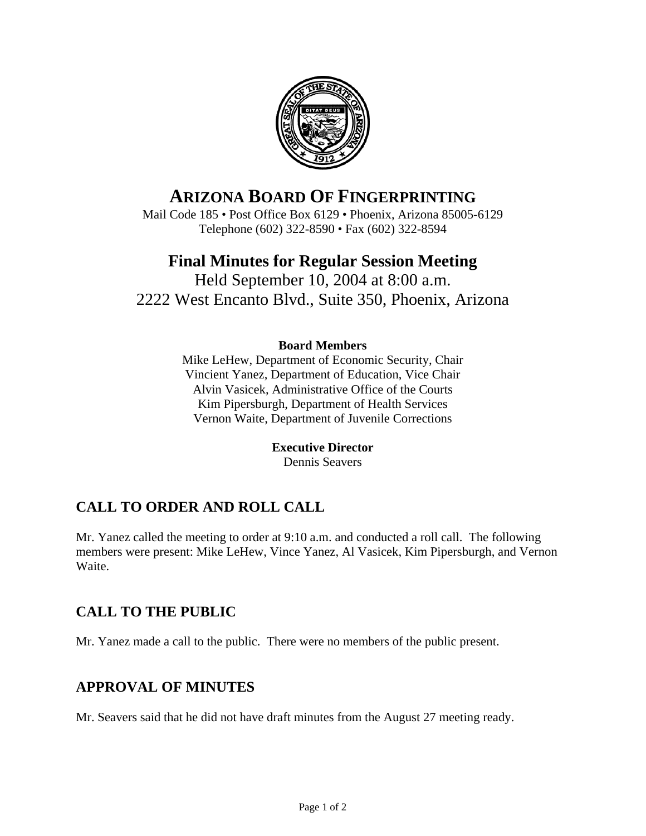

# **ARIZONA BOARD OF FINGERPRINTING**

Mail Code 185 • Post Office Box 6129 • Phoenix, Arizona 85005-6129 Telephone (602) 322-8590 • Fax (602) 322-8594

## **Final Minutes for Regular Session Meeting**

Held September 10, 2004 at 8:00 a.m. 2222 West Encanto Blvd., Suite 350, Phoenix, Arizona

#### **Board Members**

Mike LeHew, Department of Economic Security, Chair Vincient Yanez, Department of Education, Vice Chair Alvin Vasicek, Administrative Office of the Courts Kim Pipersburgh, Department of Health Services Vernon Waite, Department of Juvenile Corrections

> **Executive Director**  Dennis Seavers

## **CALL TO ORDER AND ROLL CALL**

Mr. Yanez called the meeting to order at 9:10 a.m. and conducted a roll call. The following members were present: Mike LeHew, Vince Yanez, Al Vasicek, Kim Pipersburgh, and Vernon Waite.

### **CALL TO THE PUBLIC**

Mr. Yanez made a call to the public. There were no members of the public present.

### **APPROVAL OF MINUTES**

Mr. Seavers said that he did not have draft minutes from the August 27 meeting ready.